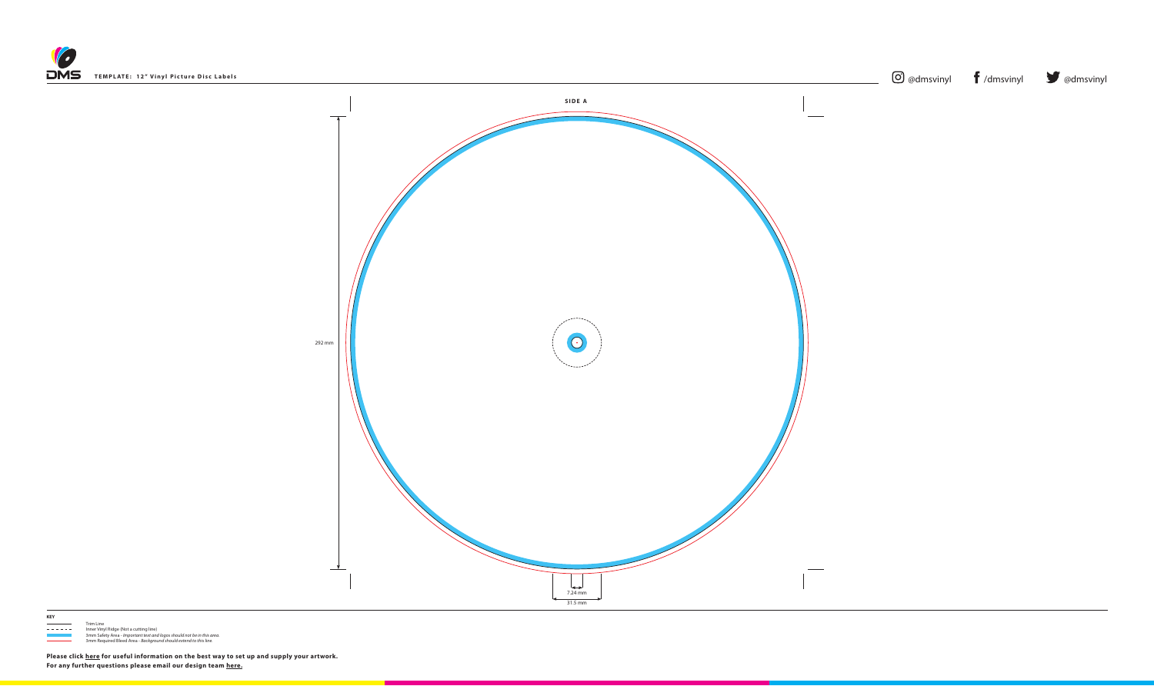



## **KEY**

 $\frac{1}{1 - 1 - 1 - 1}$  Trim Line - - - - - Inner Vinyl Ridge (Not a cutting line) 3mm Safety Area - *Important text and logos should not be in this area*. 3mm Required Bleed Area - *Background should extend to this line.*

**Please click [here](https://www.discmanufacturingservices.com/cd/templates#artwork-specifications) for useful information on the best way to set up and supply your artwork. For any further questions please email our design team [here](mailto:graphics%40discmanufacturingservices.com?subject=Template%20Enquiry).**